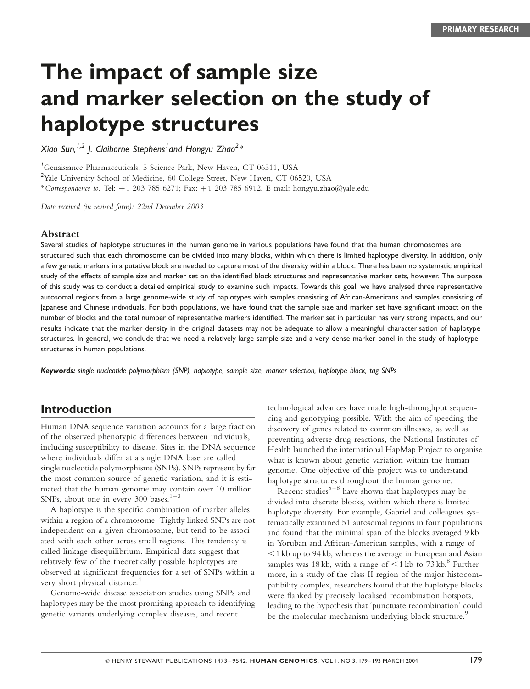# The impact of sample size and marker selection on the study of haplotype structures

Xiao Sun, <sup>1,2</sup> J. Claiborne Stephens <sup>1</sup> and Hongyu Zhao<sup>2</sup>\*

1 Genaissance Pharmaceuticals, 5 Science Park, New Haven, CT 06511, USA

<sup>2</sup>Yale University School of Medicine, 60 College Street, New Haven, CT 06520, USA

\*Correspondence to: Tel:  $+1$  203 785 6271; Fax:  $+1$  203 785 6912, E-mail: hongyu.zhao@yale.edu

Date received (in revised form): 22nd December 2003

#### Abstract

Several studies of haplotype structures in the human genome in various populations have found that the human chromosomes are structured such that each chromosome can be divided into many blocks, within which there is limited haplotype diversity. In addition, only a few genetic markers in a putative block are needed to capture most of the diversity within a block. There has been no systematic empirical study of the effects of sample size and marker set on the identified block structures and representative marker sets, however. The purpose of this study was to conduct a detailed empirical study to examine such impacts. Towards this goal, we have analysed three representative autosomal regions from a large genome-wide study of haplotypes with samples consisting of African-Americans and samples consisting of Japanese and Chinese individuals. For both populations, we have found that the sample size and marker set have significant impact on the number of blocks and the total number of representative markers identified. The marker set in particular has very strong impacts, and our results indicate that the marker density in the original datasets may not be adequate to allow a meaningful characterisation of haplotype structures. In general, we conclude that we need a relatively large sample size and a very dense marker panel in the study of haplotype structures in human populations.

Keywords: single nucleotide polymorphism (SNP), haplotype, sample size, marker selection, haplotype block, tag SNPs

# Introduction

Human DNA sequence variation accounts for a large fraction of the observed phenotypic differences between individuals, including susceptibility to disease. Sites in the DNA sequence where individuals differ at a single DNA base are called single nucleotide polymorphisms (SNPs). SNPs represent by far the most common source of genetic variation, and it is estimated that the human genome may contain over 10 million SNPs, about one in every 300 bases. $1-3$ 

A haplotype is the specific combination of marker alleles within a region of a chromosome. Tightly linked SNPs are not independent on a given chromosome, but tend to be associated with each other across small regions. This tendency is called linkage disequilibrium. Empirical data suggest that relatively few of the theoretically possible haplotypes are observed at significant frequencies for a set of SNPs within a very short physical distance.<sup>4</sup>

Genome-wide disease association studies using SNPs and haplotypes may be the most promising approach to identifying genetic variants underlying complex diseases, and recent

technological advances have made high-throughput sequencing and genotyping possible. With the aim of speeding the discovery of genes related to common illnesses, as well as preventing adverse drug reactions, the National Institutes of Health launched the international HapMap Project to organise what is known about genetic variation within the human genome. One objective of this project was to understand haplotype structures throughout the human genome.

Recent studies<sup>5–8</sup> have shown that haplotypes may be divided into discrete blocks, within which there is limited haplotype diversity. For example, Gabriel and colleagues systematically examined 51 autosomal regions in four populations and found that the minimal span of the blocks averaged 9 kb in Yoruban and African-American samples, with a range of  $\leq$ 1 kb up to 94 kb, whereas the average in European and Asian samples was 18 kb, with a range of  $\leq$ 1 kb to 73 kb.<sup>8</sup> Furthermore, in a study of the class II region of the major histocompatibility complex, researchers found that the haplotype blocks were flanked by precisely localised recombination hotspots, leading to the hypothesis that 'punctuate recombination' could be the molecular mechanism underlying block structure.<sup>9</sup>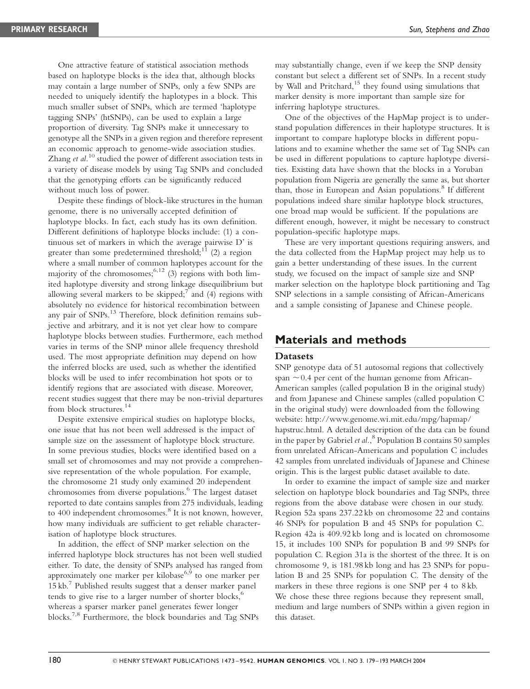One attractive feature of statistical association methods based on haplotype blocks is the idea that, although blocks may contain a large number of SNPs, only a few SNPs are needed to uniquely identify the haplotypes in a block. This much smaller subset of SNPs, which are termed 'haplotype tagging SNPs' (htSNPs), can be used to explain a large proportion of diversity. Tag SNPs make it unnecessary to genotype all the SNPs in a given region and therefore represent an economic approach to genome-wide association studies. Zhang *et al.*<sup>10</sup> studied the power of different association tests in a variety of disease models by using Tag SNPs and concluded that the genotyping efforts can be significantly reduced without much loss of power.

Despite these findings of block-like structures in the human genome, there is no universally accepted definition of haplotype blocks. In fact, each study has its own definition. Different definitions of haplotype blocks include: (1) a continuous set of markers in which the average pairwise D' is greater than some predetermined threshold;<sup>11</sup> (2) a region where a small number of common haplotypes account for the majority of the chromosomes;  $6,12$  (3) regions with both limited haplotype diversity and strong linkage disequilibrium but allowing several markers to be skipped; $^7$  and (4) regions with absolutely no evidence for historical recombination between any pair of SNPs.<sup>13</sup> Therefore, block definition remains subjective and arbitrary, and it is not yet clear how to compare haplotype blocks between studies. Furthermore, each method varies in terms of the SNP minor allele frequency threshold used. The most appropriate definition may depend on how the inferred blocks are used, such as whether the identified blocks will be used to infer recombination hot spots or to identify regions that are associated with disease. Moreover, recent studies suggest that there may be non-trivial departures from block structures.<sup>14</sup>

Despite extensive empirical studies on haplotype blocks, one issue that has not been well addressed is the impact of sample size on the assessment of haplotype block structure. In some previous studies, blocks were identified based on a small set of chromosomes and may not provide a comprehensive representation of the whole population. For example, the chromosome 21 study only examined 20 independent chromosomes from diverse populations.<sup>6</sup> The largest dataset reported to date contains samples from 275 individuals, leading to 400 independent chromosomes.<sup>8</sup> It is not known, however, how many individuals are sufficient to get reliable characterisation of haplotype block structures.

In addition, the effect of SNP marker selection on the inferred haplotype block structures has not been well studied either. To date, the density of SNPs analysed has ranged from approximately one marker per kilobase<sup>6,9</sup> to one marker per 15 kb.<sup>7</sup> Published results suggest that a denser marker panel tends to give rise to a larger number of shorter blocks,<sup>6</sup> whereas a sparser marker panel generates fewer longer blocks.7,8 Furthermore, the block boundaries and Tag SNPs

may substantially change, even if we keep the SNP density constant but select a different set of SNPs. In a recent study by Wall and Pritchard,<sup>15</sup> they found using simulations that marker density is more important than sample size for inferring haplotype structures.

One of the objectives of the HapMap project is to understand population differences in their haplotype structures. It is important to compare haplotype blocks in different populations and to examine whether the same set of Tag SNPs can be used in different populations to capture haplotype diversities. Existing data have shown that the blocks in a Yoruban population from Nigeria are generally the same as, but shorter than, those in European and Asian populations.<sup>8</sup> If different populations indeed share similar haplotype block structures, one broad map would be sufficient. If the populations are different enough, however, it might be necessary to construct population-specific haplotype maps.

These are very important questions requiring answers, and the data collected from the HapMap project may help us to gain a better understanding of these issues. In the current study, we focused on the impact of sample size and SNP marker selection on the haplotype block partitioning and Tag SNP selections in a sample consisting of African-Americans and a sample consisting of Japanese and Chinese people.

### Materials and methods

#### Datasets

SNP genotype data of 51 autosomal regions that collectively span  $\sim$  0.4 per cent of the human genome from African-American samples (called population B in the original study) and from Japanese and Chinese samples (called population C in the original study) were downloaded from the following website: http://www.genome.wi.mit.edu/mpg/hapmap/ hapstruc.html. A detailed description of the data can be found in the paper by Gabriel et al.,<sup>8</sup> Population B contains 50 samples from unrelated African-Americans and population C includes 42 samples from unrelated individuals of Japanese and Chinese origin. This is the largest public dataset available to date.

In order to examine the impact of sample size and marker selection on haplotype block boundaries and Tag SNPs, three regions from the above database were chosen in our study. Region 52a spans 237.22 kb on chromosome 22 and contains 46 SNPs for population B and 45 SNPs for population C. Region 42a is 409.92 kb long and is located on chromosome 15, it includes 100 SNPs for population B and 99 SNPs for population C. Region 31a is the shortest of the three. It is on chromosome 9, is 181.98 kb long and has 23 SNPs for population B and 25 SNPs for population C. The density of the markers in these three regions is one SNP per 4 to 8 kb. We chose these three regions because they represent small, medium and large numbers of SNPs within a given region in this dataset.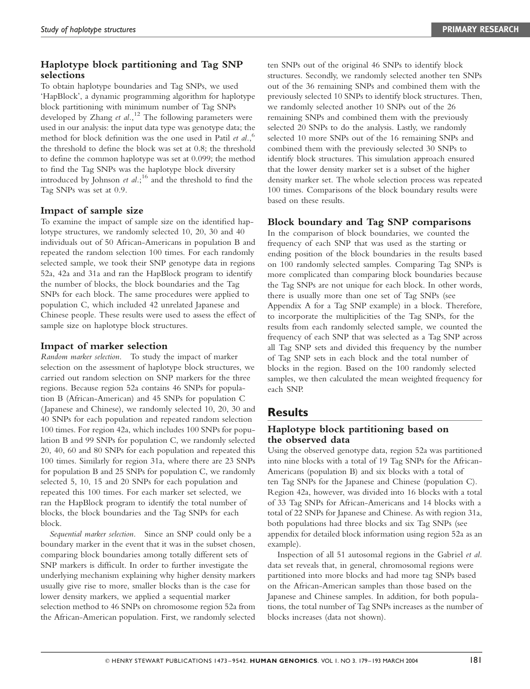### Haplotype block partitioning and Tag SNP selections

To obtain haplotype boundaries and Tag SNPs, we used 'HapBlock', a dynamic programming algorithm for haplotype block partitioning with minimum number of Tag SNPs developed by Zhang et al.,<sup>12</sup> The following parameters were used in our analysis: the input data type was genotype data; the method for block definition was the one used in Patil et al.,<sup>6</sup> the threshold to define the block was set at 0.8; the threshold to define the common haplotype was set at 0.099; the method to find the Tag SNPs was the haplotype block diversity introduced by Johnson et  $al$ ;<sup>16</sup> and the threshold to find the Tag SNPs was set at 0.9.

### Impact of sample size

To examine the impact of sample size on the identified haplotype structures, we randomly selected 10, 20, 30 and 40 individuals out of 50 African-Americans in population B and repeated the random selection 100 times. For each randomly selected sample, we took their SNP genotype data in regions 52a, 42a and 31a and ran the HapBlock program to identify the number of blocks, the block boundaries and the Tag SNPs for each block. The same procedures were applied to population C, which included 42 unrelated Japanese and Chinese people. These results were used to assess the effect of sample size on haplotype block structures.

### Impact of marker selection

Random marker selection. To study the impact of marker selection on the assessment of haplotype block structures, we carried out random selection on SNP markers for the three regions. Because region 52a contains 46 SNPs for population B (African-American) and 45 SNPs for population C (Japanese and Chinese), we randomly selected 10, 20, 30 and 40 SNPs for each population and repeated random selection 100 times. For region 42a, which includes 100 SNPs for population B and 99 SNPs for population C, we randomly selected 20, 40, 60 and 80 SNPs for each population and repeated this 100 times. Similarly for region 31a, where there are 23 SNPs for population B and 25 SNPs for population C, we randomly selected 5, 10, 15 and 20 SNPs for each population and repeated this 100 times. For each marker set selected, we ran the HapBlock program to identify the total number of blocks, the block boundaries and the Tag SNPs for each block.

Sequential marker selection. Since an SNP could only be a boundary marker in the event that it was in the subset chosen, comparing block boundaries among totally different sets of SNP markers is difficult. In order to further investigate the underlying mechanism explaining why higher density markers usually give rise to more, smaller blocks than is the case for lower density markers, we applied a sequential marker selection method to 46 SNPs on chromosome region 52a from the African-American population. First, we randomly selected

ten SNPs out of the original 46 SNPs to identify block structures. Secondly, we randomly selected another ten SNPs out of the 36 remaining SNPs and combined them with the previously selected 10 SNPs to identify block structures. Then, we randomly selected another 10 SNPs out of the 26 remaining SNPs and combined them with the previously selected 20 SNPs to do the analysis. Lastly, we randomly selected 10 more SNPs out of the 16 remaining SNPs and combined them with the previously selected 30 SNPs to identify block structures. This simulation approach ensured that the lower density marker set is a subset of the higher density marker set. The whole selection process was repeated 100 times. Comparisons of the block boundary results were based on these results.

### Block boundary and Tag SNP comparisons

In the comparison of block boundaries, we counted the frequency of each SNP that was used as the starting or ending position of the block boundaries in the results based on 100 randomly selected samples. Comparing Tag SNPs is more complicated than comparing block boundaries because the Tag SNPs are not unique for each block. In other words, there is usually more than one set of Tag SNPs (see Appendix A for a Tag SNP example) in a block. Therefore, to incorporate the multiplicities of the Tag SNPs, for the results from each randomly selected sample, we counted the frequency of each SNP that was selected as a Tag SNP across all Tag SNP sets and divided this frequency by the number of Tag SNP sets in each block and the total number of blocks in the region. Based on the 100 randomly selected samples, we then calculated the mean weighted frequency for each SNP.

### **Results**

### Haplotype block partitioning based on the observed data

Using the observed genotype data, region 52a was partitioned into nine blocks with a total of 19 Tag SNPs for the African-Americans (population B) and six blocks with a total of ten Tag SNPs for the Japanese and Chinese (population C). Region 42a, however, was divided into 16 blocks with a total of 33 Tag SNPs for African-Americans and 14 blocks with a total of 22 SNPs for Japanese and Chinese. As with region 31a, both populations had three blocks and six Tag SNPs (see appendix for detailed block information using region 52a as an example).

Inspection of all 51 autosomal regions in the Gabriel et al. data set reveals that, in general, chromosomal regions were partitioned into more blocks and had more tag SNPs based on the African-American samples than those based on the Japanese and Chinese samples. In addition, for both populations, the total number of Tag SNPs increases as the number of blocks increases (data not shown).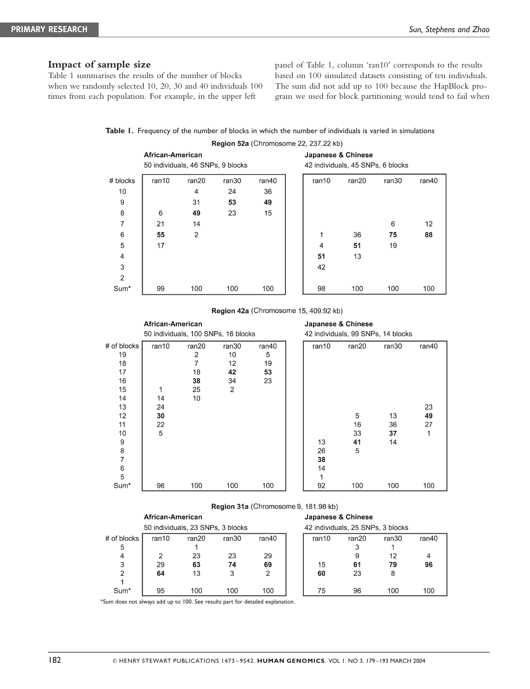#### Impact of sample size

Table 1 summarises the results of the number of blocks when we randomly selected 10, 20, 30 and 40 individuals 100 times from each population. For example, in the upper left

panel of Table 1, column 'ran10' corresponds to the results based on 100 simulated datasets consisting of ten individuals. The sum did not add up to 100 because the HapBlock program we used for block partitioning would tend to fail when

| <b>Table 1.</b> Frequency of the number of blocks in which the number of individuals is varied in simulations |  |
|---------------------------------------------------------------------------------------------------------------|--|
| Region 52a (Chromosome 22, 237.22 kb)                                                                         |  |

|                | African-American<br>50 individuals, 46 SNPs, 9 blocks |                |                   |       | Japanese & Chinese<br>42 individuals, 45 SNPs, 6 blocks |       |       |       |
|----------------|-------------------------------------------------------|----------------|-------------------|-------|---------------------------------------------------------|-------|-------|-------|
| # blocks       | ran10                                                 | ran20          | ran <sub>30</sub> | ran40 | ran10                                                   | ran20 | ran30 | ran40 |
| 10             |                                                       | 4              | 24                | 36    |                                                         |       |       |       |
| 9              |                                                       | 31             | 53                | 49    |                                                         |       |       |       |
| 8              | 6                                                     | 49             | 23                | 15    |                                                         |       |       |       |
| $\overline{7}$ | 21                                                    | 14             |                   |       |                                                         |       | 6     | 12    |
| 6              | 55                                                    | $\overline{2}$ |                   |       |                                                         | 36    | 75    | 88    |
| 5              | 17                                                    |                |                   |       | $\overline{4}$                                          | 51    | 19    |       |
| $\overline{4}$ |                                                       |                |                   |       | 51                                                      | 13    |       |       |
| 3              |                                                       |                |                   |       | 42                                                      |       |       |       |
| $\overline{2}$ |                                                       |                |                   |       |                                                         |       |       |       |
| Sum*           | 99                                                    | 100            | 100               | 100   | 98                                                      | 100   | 100   | 100   |

#### Region 42a (Chromosome 15, 409.92 kb)

|             | African-American |                |                                     |       | Japanese & Chinese                 |       |       |       |       |  |  |
|-------------|------------------|----------------|-------------------------------------|-------|------------------------------------|-------|-------|-------|-------|--|--|
|             |                  |                | 50 individuals, 100 SNPs, 16 blocks |       | 42 individuals, 99 SNPs, 14 blocks |       |       |       |       |  |  |
| # of blocks | ran10            | ran20          | ran30                               | ran40 |                                    | ran10 | ran20 | ran30 | ran40 |  |  |
| 19          |                  | $\overline{2}$ | 10                                  | 5     |                                    |       |       |       |       |  |  |
| 18          |                  |                | 12                                  | 19    |                                    |       |       |       |       |  |  |
| 17          |                  | 18             | 42                                  | 53    |                                    |       |       |       |       |  |  |
| 16          |                  | 38             | 34                                  | 23    |                                    |       |       |       |       |  |  |
| 15          |                  | 25             | $\overline{2}$                      |       |                                    |       |       |       |       |  |  |
| 14          | 14               | 10             |                                     |       |                                    |       |       |       |       |  |  |
| 13          | 24               |                |                                     |       |                                    |       |       |       | 23    |  |  |
| 12          | 30               |                |                                     |       |                                    |       | 5     | 13    | 49    |  |  |
| 11          | 22               |                |                                     |       |                                    |       | 16    | 36    | 27    |  |  |
| 10          | 5                |                |                                     |       |                                    |       | 33    | 37    | 1     |  |  |
| 9           |                  |                |                                     |       |                                    | 13    | 41    | 14    |       |  |  |
| 8           |                  |                |                                     |       |                                    | 26    | 5     |       |       |  |  |
| 7           |                  |                |                                     |       |                                    | 38    |       |       |       |  |  |
| 6           |                  |                |                                     |       |                                    | 14    |       |       |       |  |  |
| 5           |                  |                |                                     |       |                                    |       |       |       |       |  |  |
| Sum*        | 96               | 100            | 100                                 | 100   |                                    | 92    | 100   | 100   | 100   |  |  |

#### Region 31a (Chromosome 9, 181.98 kb)

|                | African-American                  |       |       |       | Japanese & Chinese                |       |       |       |  |
|----------------|-----------------------------------|-------|-------|-------|-----------------------------------|-------|-------|-------|--|
|                | 50 individuals, 23 SNPs, 3 blocks |       |       |       | 42 individuals, 25 SNPs, 3 blocks |       |       |       |  |
| $#$ of blocks  | ran10                             | ran20 | ran30 | ran40 | ran10                             | ran20 | ran30 | ran40 |  |
| 5              |                                   |       |       |       |                                   | 3     |       |       |  |
| 4              | 2                                 | 23    | 23    | 29    |                                   | 9     | 12    | 4     |  |
| 3              | 29                                | 63    | 74    | 69    | 15                                | 61    | 79    | 96    |  |
| $\overline{2}$ | 64                                | 13    | 3     | 2     | 60                                | 23    | 8     |       |  |
|                |                                   |       |       |       |                                   |       |       |       |  |
| Sum*           | 95                                | 100   | 100   | 100   | 75                                | 96    | 100   | 100   |  |

\*Sum does not always add up to 100. See results part for detailed explanation.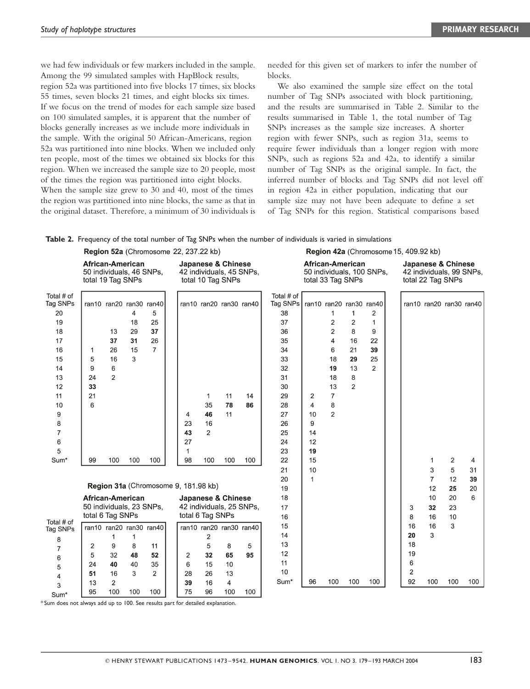we had few individuals or few markers included in the sample. Among the 99 simulated samples with HapBlock results, region 52a was partitioned into five blocks 17 times, six blocks 55 times, seven blocks 21 times, and eight blocks six times. If we focus on the trend of modes for each sample size based on 100 simulated samples, it is apparent that the number of blocks generally increases as we include more individuals in the sample. With the original 50 African-Americans, region 52a was partitioned into nine blocks. When we included only ten people, most of the times we obtained six blocks for this region. When we increased the sample size to 20 people, most of the times the region was partitioned into eight blocks. When the sample size grew to 30 and 40, most of the times the region was partitioned into nine blocks, the same as that in needed for this given set of markers to infer the number of blocks.

We also examined the sample size effect on the total number of Tag SNPs associated with block partitioning, and the results are summarised in Table 2. Similar to the results summarised in Table 1, the total number of Tag SNPs increases as the sample size increases. A shorter region with fewer SNPs, such as region 31a, seems to require fewer individuals than a longer region with more SNPs, such as regions 52a and 42a, to identify a similar number of Tag SNPs as the original sample. In fact, the inferred number of blocks and Tag SNPs did not level off in region 42a in either population, indicating that our sample size may not have been adequate to define a set of Tag SNPs for this region. Statistical comparisons based

Table 2. Frequency of the total number of Tag SNPs when the number of individuals is varied in simulations

|                        | African-American<br>50 individuals, 46 SNPs,<br>total 19 Tag SNPs |                |     |                                      | Japanese & Chinese<br>42 individuals, 45 SNPs,<br>total 10 Tag SNPs |                |                         | African-American<br>50 individuals, 100 SNPs,<br>total 33 Tag SNPs |                        |                |                         | Japanese & Chinese<br>42 individuals, 99 SNPs,<br>total 22 Tag SNPs |                |                         |                |                         |     |
|------------------------|-------------------------------------------------------------------|----------------|-----|--------------------------------------|---------------------------------------------------------------------|----------------|-------------------------|--------------------------------------------------------------------|------------------------|----------------|-------------------------|---------------------------------------------------------------------|----------------|-------------------------|----------------|-------------------------|-----|
| Total # of<br>Tag SNPs | ran10 ran20 ran30 ran40                                           |                |     |                                      |                                                                     |                | ran10 ran20 ran30 ran40 |                                                                    | Total # of<br>Tag SNPs |                | ran10 ran20 ran30 ran40 |                                                                     |                | ran10 ran20 ran30 ran40 |                |                         |     |
| 20                     |                                                                   |                | 4   | 5                                    |                                                                     |                |                         |                                                                    | 38                     |                |                         | 1                                                                   | 2              |                         |                |                         |     |
| 19                     |                                                                   |                | 18  | 25                                   |                                                                     |                |                         |                                                                    | 37                     |                | 2                       | $\overline{2}$                                                      | 1              |                         |                |                         |     |
| 18                     |                                                                   | 13             | 29  | 37                                   |                                                                     |                |                         |                                                                    | 36                     |                | 2                       | 8                                                                   | 9              |                         |                |                         |     |
| 17                     |                                                                   | 37             | 31  | 26                                   |                                                                     |                |                         |                                                                    | 35                     |                | 4                       | 16                                                                  | 22             |                         |                |                         |     |
| 16                     | 1                                                                 | 26             | 15  | $\overline{7}$                       |                                                                     |                |                         |                                                                    | 34                     |                | 6                       | 21                                                                  | 39             |                         |                |                         |     |
| 15                     | 5                                                                 | 16             | 3   |                                      |                                                                     |                |                         |                                                                    | 33                     |                | 18                      | 29                                                                  | 25             |                         |                |                         |     |
| 14                     | 9                                                                 | 6              |     |                                      |                                                                     |                |                         |                                                                    | 32                     |                | 19                      | 13                                                                  | $\overline{2}$ |                         |                |                         |     |
| 13                     | 24                                                                | $\overline{2}$ |     |                                      |                                                                     |                |                         |                                                                    | 31                     |                | 18                      | 8                                                                   |                |                         |                |                         |     |
| 12                     | 33                                                                |                |     |                                      |                                                                     |                |                         |                                                                    | 30                     |                | 13                      | $\overline{2}$                                                      |                |                         |                |                         |     |
| 11                     | 21                                                                |                |     |                                      |                                                                     | 1              | 11                      | 14                                                                 | 29                     | 2              | 7                       |                                                                     |                |                         |                |                         |     |
| 10                     | 6                                                                 |                |     |                                      |                                                                     | 35             | 78                      | 86                                                                 | 28                     | $\overline{4}$ | 8                       |                                                                     |                |                         |                |                         |     |
| 9                      |                                                                   |                |     |                                      | 4                                                                   | 46             | 11                      |                                                                    | 27                     | 10             | $\overline{2}$          |                                                                     |                |                         |                |                         |     |
| 8                      |                                                                   |                |     |                                      | 23                                                                  | 16             |                         |                                                                    | 26                     | 9              |                         |                                                                     |                |                         |                |                         |     |
| 7                      |                                                                   |                |     |                                      | 43                                                                  | $\overline{2}$ |                         |                                                                    | 25                     | 14             |                         |                                                                     |                |                         |                |                         |     |
| 6                      |                                                                   |                |     |                                      | 27                                                                  |                |                         |                                                                    | 24                     | 12             |                         |                                                                     |                |                         |                |                         |     |
| 5                      |                                                                   |                |     |                                      | 1                                                                   |                |                         |                                                                    | 23                     | 19             |                         |                                                                     |                |                         |                |                         |     |
| Sum*                   | 99                                                                | 100            | 100 | 100                                  | 98                                                                  | 100            | 100                     | 100                                                                | 22                     | 15             |                         |                                                                     |                |                         | 1              | $\overline{\mathbf{c}}$ | 4   |
|                        |                                                                   |                |     |                                      |                                                                     |                |                         |                                                                    | 21                     | 10             |                         |                                                                     |                |                         | 3              | 5                       | 31  |
|                        |                                                                   |                |     |                                      |                                                                     |                |                         |                                                                    | 20                     | $\mathbf{1}$   |                         |                                                                     |                |                         | $\overline{7}$ | 12                      | 39  |
|                        |                                                                   |                |     | Region 31a (Chromosome 9, 181.98 kb) |                                                                     |                |                         |                                                                    | 19                     |                |                         |                                                                     |                |                         | 12             | 25                      | 20  |
|                        | African-American                                                  |                |     |                                      | Japanese & Chinese                                                  |                |                         |                                                                    | 18                     |                |                         |                                                                     |                |                         | 10             | 20                      | 6   |
|                        | 50 individuals, 23 SNPs,                                          |                |     |                                      | 42 individuals, 25 SNPs,                                            |                |                         |                                                                    | 17                     |                |                         |                                                                     |                | 3                       | 32             | 23                      |     |
|                        | total 6 Tag SNPs                                                  |                |     |                                      | total 6 Tag SNPs                                                    |                |                         |                                                                    | 16                     |                |                         |                                                                     |                | 8                       | 16             | 10                      |     |
| Total # of             |                                                                   |                |     | ran10 ran20 ran30 ran40              |                                                                     |                | ran10 ran20 ran30 ran40 |                                                                    | 15                     |                |                         |                                                                     |                | 16                      | 16             | 3                       |     |
| Tag SNPs               |                                                                   |                |     |                                      |                                                                     |                |                         |                                                                    | 14                     |                |                         |                                                                     |                | 20                      | 3              |                         |     |
| 8                      |                                                                   | 1              | 1   |                                      |                                                                     | 2              |                         |                                                                    | 13                     |                |                         |                                                                     |                | 18                      |                |                         |     |
| 7                      | 2                                                                 | 9              | 8   | 11                                   |                                                                     | 5              | 8                       | 5                                                                  | 12                     |                |                         |                                                                     |                | 19                      |                |                         |     |
| 6                      | 5                                                                 | 32             | 48  | 52                                   | 2                                                                   | 32             | 65                      | 95                                                                 | 11                     |                |                         |                                                                     |                | 6                       |                |                         |     |
| 5                      | 24                                                                | 40             | 40  | 35                                   | 6                                                                   | 15             | 10                      |                                                                    | 10                     |                |                         |                                                                     |                | 2                       |                |                         |     |
| 4                      | 51                                                                | 16             | 3   | $\overline{2}$                       | 28                                                                  | 26             | 13                      |                                                                    |                        | 96             | 100                     | 100                                                                 |                | 92                      | 100            |                         |     |
| 3                      | 13                                                                | $\overline{2}$ |     |                                      | 39                                                                  | 16             | 4                       |                                                                    | Sum*                   |                |                         |                                                                     | 100            |                         |                | 100                     | 100 |
| Sum*                   | 95                                                                | 100            | 100 | 100                                  | 75                                                                  | 96             | 100                     | 100                                                                |                        |                |                         |                                                                     |                |                         |                |                         |     |

Region 52a (Chromosome 22, 237.22 kb)

the original dataset. Therefore, a minimum of 30 individuals is

Region 42a (Chromosome 15, 409.92 kb)

\* Sum does not always add up to 100. See results part for detailed explanation.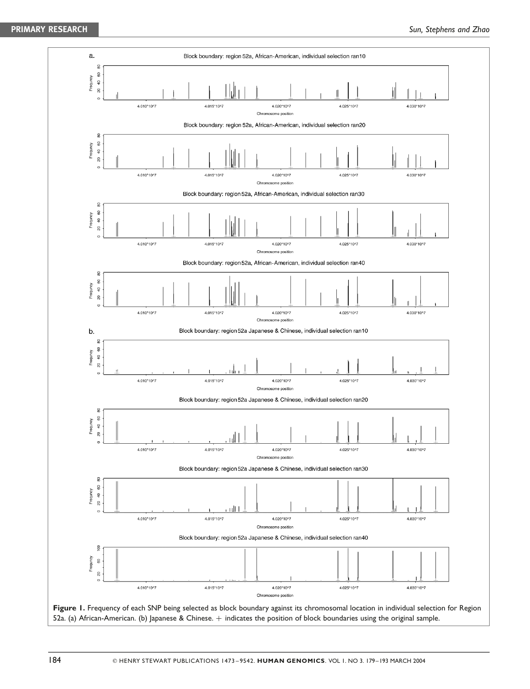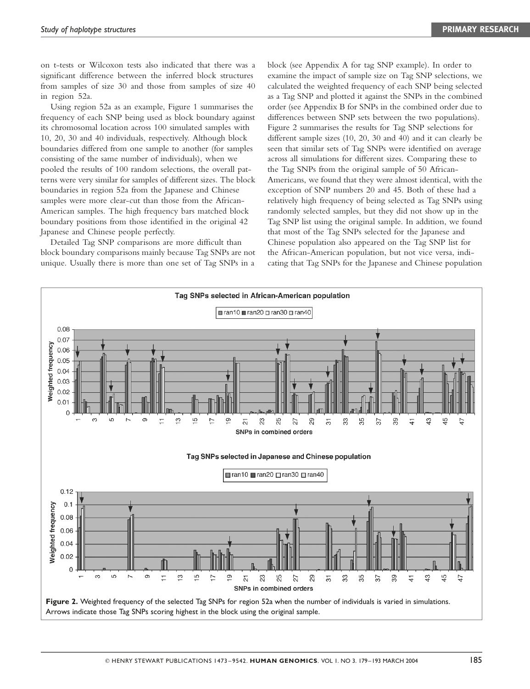on t-tests or Wilcoxon tests also indicated that there was a significant difference between the inferred block structures from samples of size 30 and those from samples of size 40 in region 52a.

Using region 52a as an example, Figure 1 summarises the frequency of each SNP being used as block boundary against its chromosomal location across 100 simulated samples with 10, 20, 30 and 40 individuals, respectively. Although block boundaries differed from one sample to another (for samples consisting of the same number of individuals), when we pooled the results of 100 random selections, the overall patterns were very similar for samples of different sizes. The block boundaries in region 52a from the Japanese and Chinese samples were more clear-cut than those from the African-American samples. The high frequency bars matched block boundary positions from those identified in the original 42 Japanese and Chinese people perfectly.

Detailed Tag SNP comparisons are more difficult than block boundary comparisons mainly because Tag SNPs are not unique. Usually there is more than one set of Tag SNPs in a

block (see Appendix A for tag SNP example). In order to examine the impact of sample size on Tag SNP selections, we calculated the weighted frequency of each SNP being selected as a Tag SNP and plotted it against the SNPs in the combined order (see Appendix B for SNPs in the combined order due to differences between SNP sets between the two populations). Figure 2 summarises the results for Tag SNP selections for different sample sizes (10, 20, 30 and 40) and it can clearly be seen that similar sets of Tag SNPs were identified on average across all simulations for different sizes. Comparing these to the Tag SNPs from the original sample of 50 African-Americans, we found that they were almost identical, with the exception of SNP numbers 20 and 45. Both of these had a relatively high frequency of being selected as Tag SNPs using randomly selected samples, but they did not show up in the Tag SNP list using the original sample. In addition, we found that most of the Tag SNPs selected for the Japanese and Chinese population also appeared on the Tag SNP list for the African-American population, but not vice versa, indicating that Tag SNPs for the Japanese and Chinese population

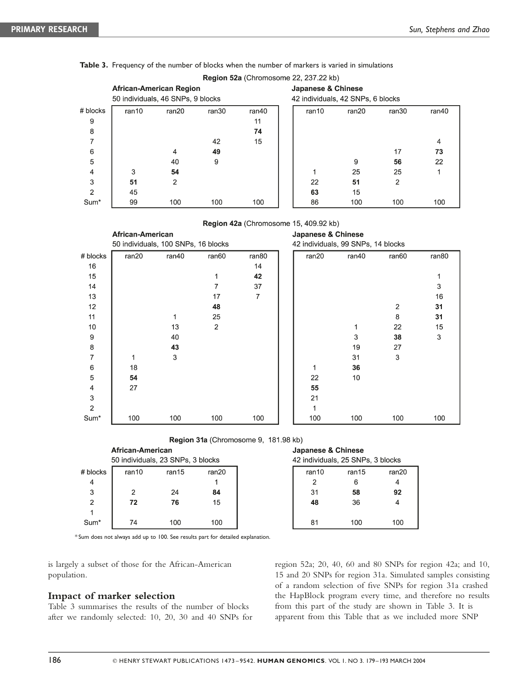|                | African-American Region<br>50 individuals, 46 SNPs, 9 blocks | Japanese &<br>42 individual |       |       |       |
|----------------|--------------------------------------------------------------|-----------------------------|-------|-------|-------|
| # blocks       | ran10                                                        | ran <sub>20</sub>           | ran30 | ran40 | ran10 |
| 9              |                                                              |                             |       | 11    |       |
| 8              |                                                              |                             |       | 74    |       |
| 7              |                                                              |                             | 42    | 15    |       |
| 6              |                                                              | 4                           | 49    |       |       |
| 5              |                                                              | 40                          | 9     |       |       |
| 4              | 3                                                            | 54                          |       |       | 1     |
| 3              | 51                                                           | 2                           |       |       | 22    |
| $\overline{2}$ | 45                                                           |                             |       |       | 63    |
| Sum*           | 99                                                           | 100                         | 100   | 100   | 86    |

| <b>Table 3.</b> Frequency of the number of blocks when the number of markers is varied in simulations |  |
|-------------------------------------------------------------------------------------------------------|--|
|-------------------------------------------------------------------------------------------------------|--|

| 42 individuals, 42 SNPs, 6 blocks |       |       |       |  |  |  |  |  |  |  |
|-----------------------------------|-------|-------|-------|--|--|--|--|--|--|--|
| ran10                             | ran20 | ran30 | ran40 |  |  |  |  |  |  |  |
|                                   |       |       |       |  |  |  |  |  |  |  |
|                                   |       |       |       |  |  |  |  |  |  |  |
|                                   |       |       | 4     |  |  |  |  |  |  |  |
|                                   |       | 17    | 73    |  |  |  |  |  |  |  |
|                                   | 9     | 56    | 22    |  |  |  |  |  |  |  |
| 1                                 | 25    | 25    | 1     |  |  |  |  |  |  |  |
| 22                                | 51    | 2     |       |  |  |  |  |  |  |  |
| 63                                | 15    |       |       |  |  |  |  |  |  |  |
| 86                                | 100   | 100   | 100   |  |  |  |  |  |  |  |

**Chinese** 

|  | Region 42a (Chromosome 15, 409.92 kb) |  |  |
|--|---------------------------------------|--|--|
|  |                                       |  |  |

Region 52a (Chromosome 22, 237.22 kb)

|          | African-American<br>50 individuals, 100 SNPs, 16 blocks |       |                |                   | Japanese & Chinese<br>42 individuals, 99 SNPs, 14 blocks |       |       |       |  |  |
|----------|---------------------------------------------------------|-------|----------------|-------------------|----------------------------------------------------------|-------|-------|-------|--|--|
| # blocks | ran20                                                   | ran40 | ran60          | ran <sub>80</sub> | ran20                                                    | ran40 | ran60 | ran80 |  |  |
| 16       |                                                         |       |                | 14                |                                                          |       |       |       |  |  |
| 15       |                                                         |       |                | 42                |                                                          |       |       | 1     |  |  |
| 14       |                                                         |       |                | 37                |                                                          |       |       | 3     |  |  |
| 13       |                                                         |       | 17             | 7                 |                                                          |       |       | 16    |  |  |
| 12       |                                                         |       | 48             |                   |                                                          |       | 2     | 31    |  |  |
| 11       |                                                         |       | 25             |                   |                                                          |       | 8     | 31    |  |  |
| 10       |                                                         | 13    | $\overline{2}$ |                   |                                                          | 1     | 22    | 15    |  |  |
| 9        |                                                         | 40    |                |                   |                                                          | 3     | 38    | 3     |  |  |
| 8        |                                                         | 43    |                |                   |                                                          | 19    | 27    |       |  |  |
| 7        | 1                                                       | 3     |                |                   |                                                          | 31    | 3     |       |  |  |
| 6        | 18                                                      |       |                |                   |                                                          | 36    |       |       |  |  |
| 5        | 54                                                      |       |                |                   | 22                                                       | 10    |       |       |  |  |
| 4        | 27                                                      |       |                |                   | 55                                                       |       |       |       |  |  |
| 3        |                                                         |       |                |                   | 21                                                       |       |       |       |  |  |
| 2        |                                                         |       |                |                   |                                                          |       |       |       |  |  |
| Sum*     | 100                                                     | 100   | 100            | 100               | 100                                                      | 100   | 100   | 100   |  |  |

#### Region 31a (Chromosome 9, 181.98 kb)

| African-American                  |       |       |       |  |  |  |  |  |  |  |
|-----------------------------------|-------|-------|-------|--|--|--|--|--|--|--|
| 50 individuals, 23 SNPs, 3 blocks |       |       |       |  |  |  |  |  |  |  |
| # blocks                          | ran10 | ran15 | ran20 |  |  |  |  |  |  |  |
|                                   |       |       |       |  |  |  |  |  |  |  |
| 3                                 | 2     | 24    | 84    |  |  |  |  |  |  |  |
| 2                                 | 72    | 76    | 15    |  |  |  |  |  |  |  |
|                                   |       |       |       |  |  |  |  |  |  |  |
| Sum*                              | 74    | 100   | 100   |  |  |  |  |  |  |  |

\* Sum does not always add up to 100. See results part for detailed explanation.

is largely a subset of those for the African-American population.

#### Impact of marker selection

Table 3 summarises the results of the number of blocks after we randomly selected: 10, 20, 30 and 40 SNPs for

| <b>Japanese &amp; Chinese</b>  |  |  |
|--------------------------------|--|--|
| 10 individuale 05 CNDs 0 blook |  |  |

| 42 INGIVIQUAIS, 25 SNPS, 3 DIOCKS |       |       |  |  |  |  |  |  |  |
|-----------------------------------|-------|-------|--|--|--|--|--|--|--|
| ran10                             | ran15 | ran20 |  |  |  |  |  |  |  |
| 2                                 | 6     |       |  |  |  |  |  |  |  |
| 31                                | 58    | 92    |  |  |  |  |  |  |  |
| 48                                | 36    |       |  |  |  |  |  |  |  |
|                                   |       |       |  |  |  |  |  |  |  |
| 81                                | 100   | 100   |  |  |  |  |  |  |  |
|                                   |       |       |  |  |  |  |  |  |  |

region 52a; 20, 40, 60 and 80 SNPs for region 42a; and 10, 15 and 20 SNPs for region 31a. Simulated samples consisting of a random selection of five SNPs for region 31a crashed the HapBlock program every time, and therefore no results from this part of the study are shown in Table 3. It is apparent from this Table that as we included more SNP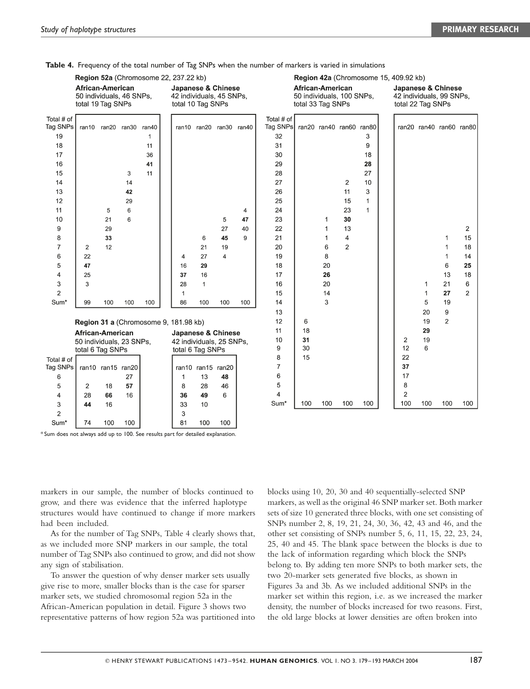Table 4. Frequency of the total number of Tag SNPs when the number of markers is varied in simulations

|                |                                                                   |                   | Region 52a (Chromosome 22, 237.22 kb) |       |  |                                                                     |       |                   |       | Region 42a (Chromosome 15, 409.92 kb) |                                                                    |     |                         |              |  |                                                                     |     |                         |                |
|----------------|-------------------------------------------------------------------|-------------------|---------------------------------------|-------|--|---------------------------------------------------------------------|-------|-------------------|-------|---------------------------------------|--------------------------------------------------------------------|-----|-------------------------|--------------|--|---------------------------------------------------------------------|-----|-------------------------|----------------|
|                | African-American<br>50 individuals, 46 SNPs,<br>total 19 Tag SNPs |                   |                                       |       |  | Japanese & Chinese<br>42 individuals, 45 SNPs,<br>total 10 Tag SNPs |       |                   |       |                                       | African-American<br>50 individuals, 100 SNPs,<br>total 33 Tag SNPs |     |                         |              |  | Japanese & Chinese<br>42 individuals, 99 SNPs,<br>total 22 Tag SNPs |     |                         |                |
| Total # of     |                                                                   |                   |                                       |       |  |                                                                     |       |                   |       | Total # of                            |                                                                    |     |                         |              |  |                                                                     |     |                         |                |
| Tag SNPs       |                                                                   | ran10 ran20       | ran30                                 | ran40 |  | ran10                                                               | ran20 | ran30             | ran40 | Tag SNPs                              |                                                                    |     | ran20 ran40 ran60 ran80 |              |  |                                                                     |     | ran20 ran40 ran60 ran80 |                |
| 19             |                                                                   |                   |                                       | 1     |  |                                                                     |       |                   |       | 32                                    |                                                                    |     |                         | 3            |  |                                                                     |     |                         |                |
| 18             |                                                                   |                   |                                       | 11    |  |                                                                     |       |                   |       | 31                                    |                                                                    |     |                         | 9            |  |                                                                     |     |                         |                |
| 17             |                                                                   |                   |                                       | 36    |  |                                                                     |       |                   |       | 30                                    |                                                                    |     |                         | 18           |  |                                                                     |     |                         |                |
| 16             |                                                                   |                   |                                       | 41    |  |                                                                     |       |                   |       | 29                                    |                                                                    |     |                         | 28           |  |                                                                     |     |                         |                |
| 15             |                                                                   |                   | 3                                     | 11    |  |                                                                     |       |                   |       | 28                                    |                                                                    |     |                         | 27           |  |                                                                     |     |                         |                |
| 14             |                                                                   |                   | 14                                    |       |  |                                                                     |       |                   |       | 27                                    |                                                                    |     | $\overline{2}$          | 10           |  |                                                                     |     |                         |                |
| 13             |                                                                   |                   | 42                                    |       |  |                                                                     |       |                   |       | 26                                    |                                                                    |     | 11                      | 3            |  |                                                                     |     |                         |                |
| 12             |                                                                   |                   | 29                                    |       |  |                                                                     |       |                   |       | 25                                    |                                                                    |     | 15                      | $\mathbf{1}$ |  |                                                                     |     |                         |                |
| 11             |                                                                   | 5                 | 6                                     |       |  |                                                                     |       |                   | 4     | 24                                    |                                                                    |     | 23                      | $\mathbf{1}$ |  |                                                                     |     |                         |                |
| 10             |                                                                   | 21                | 6                                     |       |  |                                                                     |       | 5                 | 47    | 23                                    |                                                                    | 1   | 30                      |              |  |                                                                     |     |                         |                |
| 9              |                                                                   | 29                |                                       |       |  |                                                                     |       | 27                | 40    | 22                                    |                                                                    | 1   | 13                      |              |  |                                                                     |     |                         | $\overline{2}$ |
| 8              |                                                                   | 33                |                                       |       |  |                                                                     | 6     | 45                | 9     | 21                                    |                                                                    | 1   | 4                       |              |  |                                                                     |     | 1                       | 15             |
| 7              | $\overline{2}$                                                    | 12                |                                       |       |  |                                                                     | 21    | 19                |       | 20                                    |                                                                    | 6   | $\overline{2}$          |              |  |                                                                     |     | 1                       | 18             |
| 6              | 22                                                                |                   |                                       |       |  | 4                                                                   | 27    | $\overline{4}$    |       | 19                                    |                                                                    | 8   |                         |              |  |                                                                     |     | 1                       | 14             |
| 5              | 47                                                                |                   |                                       |       |  | 16                                                                  | 29    |                   |       | 18                                    |                                                                    | 20  |                         |              |  |                                                                     |     | 6                       | 25             |
| 4              | 25                                                                |                   |                                       |       |  | 37                                                                  | 16    |                   |       | 17                                    |                                                                    | 26  |                         |              |  |                                                                     |     | 13                      | 18             |
| 3              | 3                                                                 |                   |                                       |       |  | 28                                                                  | 1     |                   |       | 16                                    |                                                                    | 20  |                         |              |  |                                                                     | 1   | 21                      | 6              |
| $\overline{2}$ |                                                                   |                   |                                       |       |  | $\mathbf{1}$                                                        |       |                   |       | 15                                    |                                                                    | 14  |                         |              |  |                                                                     | 1   | 27                      | $\overline{2}$ |
| Sum*           | 99                                                                | 100               | 100                                   | 100   |  | 86                                                                  | 100   | 100               | 100   | 14                                    |                                                                    | 3   |                         |              |  |                                                                     | 5   | 19                      |                |
|                |                                                                   |                   |                                       |       |  |                                                                     |       |                   |       | 13                                    |                                                                    |     |                         |              |  |                                                                     | 20  | 9                       |                |
|                | Region 31 a (Chromosome 9, 181.98 kb)                             |                   |                                       |       |  |                                                                     |       |                   |       | 12                                    | 6                                                                  |     |                         |              |  |                                                                     | 19  | $\overline{2}$          |                |
|                | African-American                                                  |                   |                                       |       |  | Japanese & Chinese                                                  |       |                   |       | 11                                    | 18                                                                 |     |                         |              |  |                                                                     | 29  |                         |                |
|                | 50 individuals, 23 SNPs,                                          |                   |                                       |       |  | 42 individuals, 25 SNPs,                                            |       |                   |       | 10                                    | 31                                                                 |     |                         |              |  | 2                                                                   | 19  |                         |                |
|                | total 6 Tag SNPs                                                  |                   |                                       |       |  | total 6 Tag SNPs                                                    |       |                   |       | 9                                     | 30                                                                 |     |                         |              |  | 12                                                                  | 6   |                         |                |
| Total # of     |                                                                   |                   |                                       |       |  |                                                                     |       |                   |       | 8                                     | 15                                                                 |     |                         |              |  | 22                                                                  |     |                         |                |
| Tag SNPs       |                                                                   | ran10 ran15 ran20 |                                       |       |  |                                                                     |       | ran10 ran15 ran20 |       | 7                                     |                                                                    |     |                         |              |  | 37                                                                  |     |                         |                |
| 6              |                                                                   |                   | 27                                    |       |  | 1                                                                   | 13    | 48                |       | 6                                     |                                                                    |     |                         |              |  | 17                                                                  |     |                         |                |
| 5              | $\overline{2}$                                                    | 18                | 57                                    |       |  | 8                                                                   | 28    | 46                |       | 5                                     |                                                                    |     |                         |              |  | 8                                                                   |     |                         |                |
| 4              | 28                                                                | 66                | 16                                    |       |  | 36                                                                  | 49    | 6                 |       | 4                                     |                                                                    |     |                         |              |  | 2                                                                   |     |                         |                |
| 3              | 44                                                                | 16                |                                       |       |  | 33                                                                  | 10    |                   |       | Sum*                                  | 100                                                                | 100 | 100                     | 100          |  | 100                                                                 | 100 | 100                     | 100            |
| C              |                                                                   |                   |                                       |       |  | $\mathbf{a}$                                                        |       |                   |       |                                       |                                                                    |     |                         |              |  |                                                                     |     |                         |                |

\* Sum does not always add up to 100. See results part for detailed explanation.

81

100

100

100 100

Sum<sup>\*</sup>

74

markers in our sample, the number of blocks continued to grow, and there was evidence that the inferred haplotype structures would have continued to change if more markers had been included.

As for the number of Tag SNPs, Table 4 clearly shows that, as we included more SNP markers in our sample, the total number of Tag SNPs also continued to grow, and did not show any sign of stabilisation.

To answer the question of why denser marker sets usually give rise to more, smaller blocks than is the case for sparser marker sets, we studied chromosomal region 52a in the African-American population in detail. Figure 3 shows two representative patterns of how region 52a was partitioned into blocks using 10, 20, 30 and 40 sequentially-selected SNP markers, as well as the original 46 SNP marker set. Both marker sets of size 10 generated three blocks, with one set consisting of SNPs number 2, 8, 19, 21, 24, 30, 36, 42, 43 and 46, and the other set consisting of SNPs number 5, 6, 11, 15, 22, 23, 24, 25, 40 and 45. The blank space between the blocks is due to the lack of information regarding which block the SNPs belong to. By adding ten more SNPs to both marker sets, the two 20-marker sets generated five blocks, as shown in Figures 3a and 3b. As we included additional SNPs in the marker set within this region, i.e. as we increased the marker density, the number of blocks increased for two reasons. First, the old large blocks at lower densities are often broken into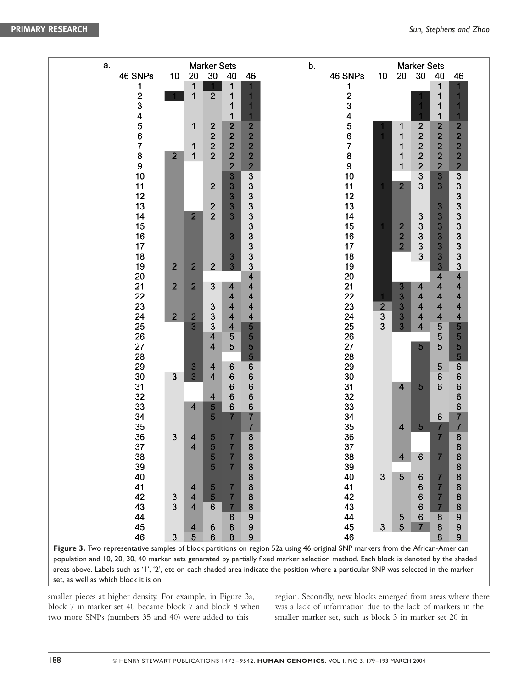| a. |                  |                |                         | Marker Sets             |                                       |                         | b. |                |                |                         | <b>Marker Sets</b>      |                                            |                                       |  |
|----|------------------|----------------|-------------------------|-------------------------|---------------------------------------|-------------------------|----|----------------|----------------|-------------------------|-------------------------|--------------------------------------------|---------------------------------------|--|
|    | 46 SNPs          | 10             | 20                      | 30                      | 40                                    | 46                      |    | 46 SNPs        | 10             | 20                      | 30 <sub>o</sub>         | 40                                         | 46                                    |  |
|    | 1                |                | 1                       |                         | 1                                     |                         |    | 1              |                |                         |                         | 1                                          |                                       |  |
|    |                  |                | 1                       | $\overline{2}$          | 1                                     |                         |    |                |                |                         |                         | 1                                          |                                       |  |
|    | $\frac{2}{3}$    |                |                         |                         | 1                                     |                         |    | $\frac{2}{3}$  |                |                         |                         | 1                                          |                                       |  |
|    | 4                |                |                         |                         | 1                                     |                         |    | 4              |                |                         |                         | 1                                          |                                       |  |
|    | 5                |                | 1                       | $\overline{2}$          | $\overline{2}$                        | $\overline{a}$          |    |                |                | 1                       | $\overline{2}$          | $\overline{2}$                             | $\overline{2}$                        |  |
|    | $\boldsymbol{6}$ |                |                         | $\mathbf{2}$            | $\overline{2}$                        | $\overline{a}$          |    | $\frac{5}{6}$  |                | 1                       | $\overline{2}$          | $\overline{\mathbf{c}}$                    | $\overline{\mathbf{2}}$               |  |
|    | $\overline{7}$   |                |                         | $\overline{2}$          |                                       |                         |    | $\overline{7}$ |                |                         |                         |                                            |                                       |  |
|    |                  |                | 1<br>$\mathbf{1}$       | $\overline{2}$          | $\overline{2}$                        | $\overline{\mathbf{c}}$ |    |                |                | 1                       | $\overline{2}$          | $\overline{c}$                             | $\overline{2}$                        |  |
|    | $\bf8$           | $\overline{2}$ |                         |                         | $\overline{2}$                        | $\overline{a}$          |    | $\bf 8$        |                | 1                       | $\overline{\mathbf{c}}$ | $\overline{2}$                             | $\overline{\mathbf{2}}$               |  |
|    | $\boldsymbol{9}$ |                |                         |                         | $\overline{2}$                        | $\overline{2}$          |    | 9              |                | 1                       | $\overline{2}$          | $\overline{2}$                             | $\overline{2}$                        |  |
|    | 10               |                |                         |                         | 3                                     | 3                       |    | 10             |                |                         | 3                       | 3                                          | 3                                     |  |
|    | 11               |                |                         | $\overline{2}$          | 3                                     | 3                       |    | 11             | 1              | $\overline{2}$          | 3                       | 3                                          | 3                                     |  |
|    | 12               |                |                         |                         | 3                                     | 3                       |    | 12             |                |                         |                         |                                            | 3                                     |  |
|    | 13               |                |                         | $\overline{2}$          | 3                                     | 3                       |    | 13             |                |                         |                         | 3                                          | 3                                     |  |
|    | 14               |                | $\overline{2}$          | $\overline{2}$          | 3                                     | 3                       |    | 14             |                |                         | 3                       | 3                                          | 3                                     |  |
|    | 15               |                |                         |                         |                                       | $\frac{3}{3}$           |    | 15             | 1              | $\overline{2}$          | 3                       | 3                                          | 3                                     |  |
|    | 16               |                |                         |                         | 3                                     |                         |    | 16             |                | $\overline{2}$          | 3                       | 3                                          | 3                                     |  |
|    | 17               |                |                         |                         |                                       | 3                       |    | 17             |                | $\overline{2}$          | 3                       | 3                                          | 3                                     |  |
|    | 18               |                |                         |                         | 3                                     | 3                       |    | 18             |                |                         | 3                       | 3                                          | 3                                     |  |
|    | 19               | $\overline{2}$ | $\overline{2}$          | $\overline{2}$          | 3                                     | 3                       |    | 19             |                |                         |                         | 3                                          | 3                                     |  |
|    | 20               |                |                         |                         |                                       | $\overline{\mathbf{4}}$ |    | 20             |                |                         |                         | $\overline{4}$                             | 4                                     |  |
|    | 21               | $\overline{2}$ | $\overline{2}$          | 3                       | $\overline{\mathbf{4}}$               | 4                       |    | 21             |                | 3                       | 4                       | $\overline{\mathbf{r}}$                    | 4                                     |  |
|    | 22               |                |                         |                         | 4                                     | 4                       |    | 22             |                | 3                       | $\overline{\mathbf{4}}$ | $\overline{\mathbf{4}}$                    | 4                                     |  |
|    | 23               |                |                         | 3                       | 4                                     | $\overline{\mathbf{r}}$ |    | 23             | $\overline{2}$ | 3                       | $\overline{\mathbf{4}}$ | $\overline{\mathbf{4}}$                    | 4                                     |  |
|    | 24               | $\overline{2}$ | $\overline{2}$          | 3                       | 4                                     | 4                       |    | 24             | 3              | 3                       | 4                       | $\overline{\mathbf{4}}$                    | 4                                     |  |
|    | 25               |                | 3                       | 3                       | 4                                     | 5                       |    | 25             | 3              | 3                       | $\overline{4}$          | 5                                          | 5                                     |  |
|    | 26               |                |                         | 4                       | 5                                     | 5                       |    | 26             |                |                         |                         | 5                                          | 5                                     |  |
|    | 27               |                |                         | 4                       | 5                                     | 5                       |    | 27             |                |                         | 5                       | 5                                          | 5                                     |  |
|    | 28               |                |                         |                         |                                       | 5                       |    | 28             |                |                         |                         |                                            | 5                                     |  |
|    | 29               |                | 3                       | 4                       | 6                                     | 6                       |    | 29             |                |                         |                         | 5                                          | 6                                     |  |
|    | 30               | 3              | 3                       | 4                       | $6\phantom{1}6$                       | 6                       |    | 30             |                |                         |                         | $\,$ 6 $\,$                                | 6                                     |  |
|    | 31               |                |                         |                         | 6                                     | $\boldsymbol{6}$        |    | 31             |                | $\overline{4}$          | 5                       | 6                                          | 6                                     |  |
|    | 32               |                |                         | 4                       | $6\phantom{1}6$                       | $\boldsymbol{6}$        |    | 32             |                |                         |                         |                                            | 6                                     |  |
|    | 33               |                | $\overline{4}$          | 5                       | 6                                     | $6\phantom{1}$          |    | 33             |                |                         |                         |                                            | 6                                     |  |
|    | 34               |                |                         | 5                       | 7                                     | 7                       |    | 34             |                |                         |                         | 6                                          | 7                                     |  |
|    | 35               |                |                         |                         |                                       | $\overline{7}$          |    | 35             |                | $\overline{4}$          | 5                       | 7                                          | $\overline{7}$                        |  |
|    | 36               | 3              |                         |                         | $\overline{7}$                        | 8                       |    | 36             |                |                         |                         | 7                                          |                                       |  |
|    |                  |                | 4                       | 5<br>E                  |                                       |                         |    |                |                |                         |                         |                                            | 8                                     |  |
|    | $37\,$           |                | 4                       | p                       | $\overline{7}$                        | 8                       |    | 37             |                |                         |                         |                                            | 8                                     |  |
|    | 38               |                |                         | $\overline{5}$          | $\overline{7}$                        | 8                       |    | 38             |                | $\overline{\mathbf{4}}$ | 6                       | $\overline{7}$                             | 8                                     |  |
|    | 39               |                |                         | 5                       | $\overline{7}$                        | 8                       |    | 39             |                |                         |                         |                                            | 8                                     |  |
|    | 40               |                |                         |                         |                                       | 8                       |    | 40             | $\mathbf{3}$   | $\overline{5}$          | 6                       | $\overline{7}$                             | $\begin{array}{c} 8 \\ 8 \end{array}$ |  |
|    | 41               |                | 4                       | $\overline{\mathbf{5}}$ | $\overline{7}$                        | 8                       |    | 41             |                |                         | 6                       | $\overline{7}$                             |                                       |  |
|    | 42               | 3              | 4                       | $\overline{5}$          | $\overline{7}$                        | 8                       |    | 42             |                |                         | 6                       | $\overline{7}$                             | $\begin{array}{c} 8 \\ 8 \end{array}$ |  |
|    | 43               | $\mathbf{3}$   | $\overline{\mathbf{4}}$ | 6                       | $\overline{7}$                        | 8                       |    | 43             |                |                         | 6                       | $\overline{I}$                             |                                       |  |
|    | 44               |                |                         |                         | 8                                     | 9                       |    | 44             |                | 5                       | 6                       | $\begin{array}{c} 8 \\ 8 \\ 8 \end{array}$ | 9<br>9<br>9                           |  |
|    | 45               |                | $\overline{\mathbf{r}}$ | 6                       | $\begin{array}{c} 8 \\ 8 \end{array}$ | 9<br>9                  |    | 45             | 3              | 5                       | $\overline{7}$          |                                            |                                       |  |
|    | 46               | $\mathbf{3}$   | $\overline{5}$          | 6                       |                                       |                         |    | 46             |                |                         |                         |                                            |                                       |  |

Figure 3. Two representative samples of block partitions on region 52a using 46 original SNP markers from the African-American population and 10, 20, 30, 40 marker sets generated by partially fixed marker selection method. Each block is denoted by the shaded areas above. Labels such as '1', '2', etc on each shaded area indicate the position where a particular SNP was selected in the marker set, as well as which block it is on.

smaller pieces at higher density. For example, in Figure 3a, block 7 in marker set 40 became block 7 and block 8 when two more SNPs (numbers 35 and 40) were added to this

region. Secondly, new blocks emerged from areas where there was a lack of information due to the lack of markers in the smaller marker set, such as block 3 in marker set 20 in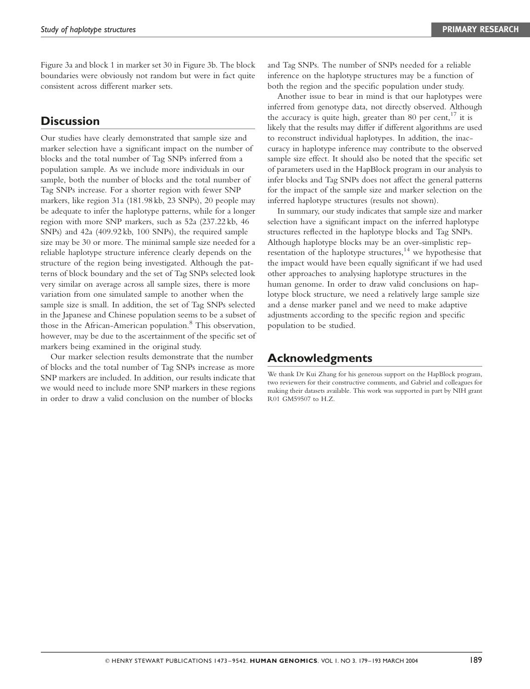Figure 3a and block 1 in marker set 30 in Figure 3b. The block boundaries were obviously not random but were in fact quite consistent across different marker sets.

# **Discussion**

Our studies have clearly demonstrated that sample size and marker selection have a significant impact on the number of blocks and the total number of Tag SNPs inferred from a population sample. As we include more individuals in our sample, both the number of blocks and the total number of Tag SNPs increase. For a shorter region with fewer SNP markers, like region 31a (181.98 kb, 23 SNPs), 20 people may be adequate to infer the haplotype patterns, while for a longer region with more SNP markers, such as 52a (237.22 kb, 46 SNPs) and 42a (409.92 kb, 100 SNPs), the required sample size may be 30 or more. The minimal sample size needed for a reliable haplotype structure inference clearly depends on the structure of the region being investigated. Although the patterns of block boundary and the set of Tag SNPs selected look very similar on average across all sample sizes, there is more variation from one simulated sample to another when the sample size is small. In addition, the set of Tag SNPs selected in the Japanese and Chinese population seems to be a subset of those in the African-American population.<sup>8</sup> This observation, however, may be due to the ascertainment of the specific set of markers being examined in the original study.

Our marker selection results demonstrate that the number of blocks and the total number of Tag SNPs increase as more SNP markers are included. In addition, our results indicate that we would need to include more SNP markers in these regions in order to draw a valid conclusion on the number of blocks

and Tag SNPs. The number of SNPs needed for a reliable inference on the haplotype structures may be a function of both the region and the specific population under study.

Another issue to bear in mind is that our haplotypes were inferred from genotype data, not directly observed. Although the accuracy is quite high, greater than 80 per cent,  $17$  it is likely that the results may differ if different algorithms are used to reconstruct individual haplotypes. In addition, the inaccuracy in haplotype inference may contribute to the observed sample size effect. It should also be noted that the specific set of parameters used in the HapBlock program in our analysis to infer blocks and Tag SNPs does not affect the general patterns for the impact of the sample size and marker selection on the inferred haplotype structures (results not shown).

In summary, our study indicates that sample size and marker selection have a significant impact on the inferred haplotype structures reflected in the haplotype blocks and Tag SNPs. Although haplotype blocks may be an over-simplistic representation of the haplotype structures, $14$  we hypothesise that the impact would have been equally significant if we had used other approaches to analysing haplotype structures in the human genome. In order to draw valid conclusions on haplotype block structure, we need a relatively large sample size and a dense marker panel and we need to make adaptive adjustments according to the specific region and specific population to be studied.

# Acknowledgments

We thank Dr Kui Zhang for his generous support on the HapBlock program, two reviewers for their constructive comments, and Gabriel and colleagues for making their datasets available. This work was supported in part by NIH grant R01 GM59507 to H.Z.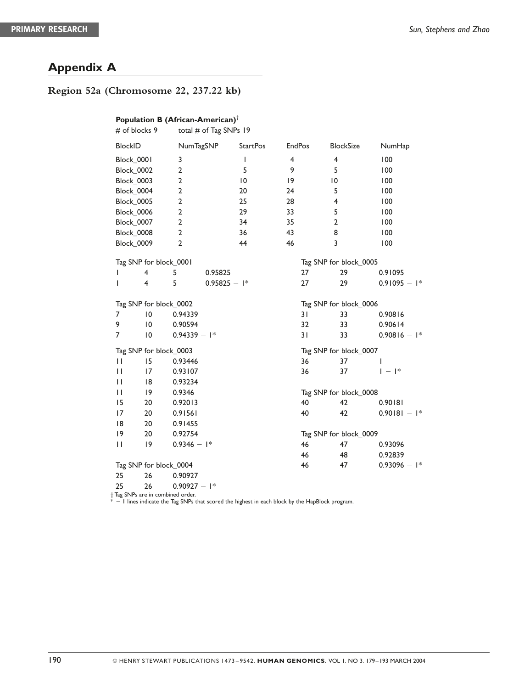# Appendix A

## Region 52a (Chromosome 22, 237.22 kb)

|         |                        | Population B (African-American) <sup>†</sup> |                 |                |                         |                |
|---------|------------------------|----------------------------------------------|-----------------|----------------|-------------------------|----------------|
|         | # of blocks 9          | total # of Tag SNPs 19                       |                 |                |                         |                |
| BlockID |                        | <b>NumTagSNP</b>                             | <b>StartPos</b> | <b>EndPos</b>  | BlockSize               | NumHap         |
|         | Block_0001             | 3                                            | $\overline{1}$  | $\overline{4}$ | $\overline{4}$          | 100            |
|         | <b>Block_0002</b>      | $\overline{2}$                               | 5               | 9              | 5                       | 100            |
|         | Block_0003             | $\overline{2}$                               | $\overline{10}$ | 9              | 10                      | 100            |
|         | Block_0004             | $\overline{2}$                               | 20              | 24             | 5                       | 100            |
|         | Block_0005             | $\overline{2}$                               | 25              | 28             | $\overline{\mathbf{4}}$ | 100            |
|         | <b>Block_0006</b>      | 2                                            | 29              | 33             | 5                       | 100            |
|         | <b>Block_0007</b>      | $\overline{2}$                               | 34              | 35             | $\overline{2}$          | 100            |
|         | Block_0008             | 2                                            | 36              | 43             | 8                       | 100            |
|         | <b>Block_0009</b>      | $\overline{2}$                               | 44              | 46             | 3                       | 100            |
|         | Tag SNP for block_0001 |                                              |                 |                | Tag SNP for block_0005  |                |
| I       | 4                      | 0.95825<br>5                                 |                 | 27             | 29                      | 0.91095        |
| I       | 4                      | $0.95825 - 1*$<br>5                          |                 | 27             | 29                      | $0.91095 - 1*$ |
|         | Tag SNP for block_0002 |                                              |                 |                | Tag SNP for block_0006  |                |
| 7       | 10                     | 0.94339                                      |                 | 31             | 33                      | 0.90816        |
| 9       | 10                     | 0.90594                                      |                 | 32             | 33                      | 0.90614        |
| 7       | $ 0\rangle$            | $0.94339 - 1*$                               |                 | 31             | 33                      | $0.90816 - 1*$ |
|         | Tag SNP for block_0003 |                                              |                 |                | Tag SNP for block_0007  |                |
| П       | 15                     | 0.93446                                      |                 | 36             | 37                      | I              |
| П       | 17                     | 0.93107                                      |                 | 36             | 37                      | $1 - 1*$       |
| П       | 18                     | 0.93234                                      |                 |                |                         |                |
| П       | 19                     | 0.9346                                       |                 |                | Tag SNP for block_0008  |                |
| 15      | 20                     | 0.92013                                      |                 | 40             | 42                      | 0.90181        |
| 17      | 20                     | 0.91561                                      |                 | 40             | 42                      | $0.90181 - 1*$ |
| 18      | 20                     | 0.91455                                      |                 |                |                         |                |
| 9       | 20                     | 0.92754                                      |                 |                | Tag SNP for block_0009  |                |
| П       | 19                     | $0.9346 - 1*$                                |                 | 46             | 47                      | 0.93096        |
|         |                        |                                              |                 | 46             | 48                      | 0.92839        |
|         | Tag SNP for block_0004 |                                              |                 | 46             | 47                      | $0.93096 - 1*$ |
| 25      | 26                     | 0.90927                                      |                 |                |                         |                |
| 25      | 26                     | $0.90927 - 1*$                               |                 |                |                         |                |

† Tag SNPs are in combined order. \* 2 1 lines indicate the Tag SNPs that scored the highest in each block by the HapBlock program.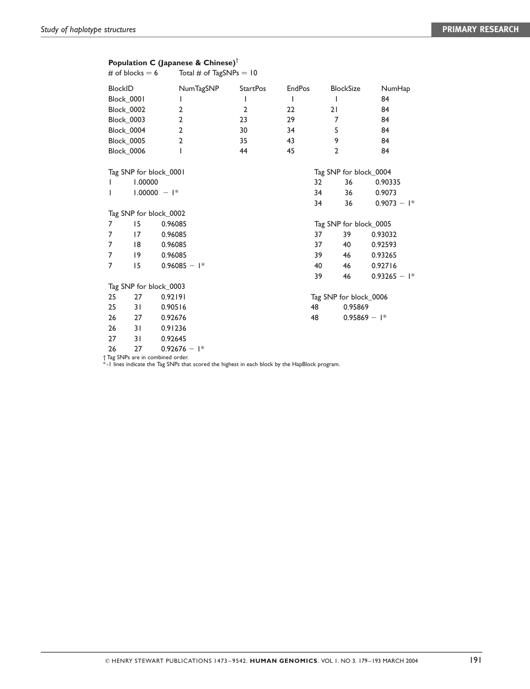# **Population C (Japanese & Chinese)<sup>†</sup>**<br># of blocks = 6 Total # of TagSNPs Total  $#$  of TagSNPs  $= 10$

| <b>BlockID</b>    |                                   | <b>NumTagSNP</b> | <b>StartPos</b> | <b>EndPos</b> |    | BlockSize              | NumHap                 |  |
|-------------------|-----------------------------------|------------------|-----------------|---------------|----|------------------------|------------------------|--|
| Block 0001        |                                   | <b>I</b>         |                 | ı             | I  |                        | 84                     |  |
| <b>Block_0002</b> |                                   | 2                | $\overline{2}$  | 22            | 21 |                        | 84                     |  |
| <b>Block 0003</b> |                                   | 2                | 23              | 29            |    | 7                      | 84                     |  |
| Block_0004        |                                   | 2                | 30              | 34            |    | 5                      | 84                     |  |
| <b>Block_0005</b> |                                   | 2                | 35              | 43            |    | 9                      | 84                     |  |
| <b>Block_0006</b> |                                   | $\mathsf{l}$     | 44              | 45            |    | $\overline{2}$         | 84                     |  |
|                   | Tag SNP for block_0001            |                  |                 |               |    | Tag SNP for block_0004 |                        |  |
|                   | 1.00000                           |                  |                 |               | 32 | 36                     | 0.90335                |  |
|                   | $1.00000 - 1*$                    |                  |                 |               | 34 | 36                     | 0.9073                 |  |
|                   |                                   |                  |                 |               | 34 | 36                     | $0.9073 - 1*$          |  |
|                   | Tag SNP for block_0002            |                  |                 |               |    |                        |                        |  |
| 7                 | 15                                | 0.96085          |                 |               |    |                        | Tag SNP for block_0005 |  |
| 7                 | 17                                | 0.96085          |                 |               | 37 | 39                     | 0.93032                |  |
| 7                 | 18                                | 0.96085          |                 |               | 37 | 40                     | 0.92593                |  |
| 7                 | 19                                | 0.96085          |                 |               | 39 | 46                     | 0.93265                |  |
| 7                 | 15                                | $0.96085 - 1*$   |                 |               | 40 | 46                     | 0.92716                |  |
|                   |                                   |                  |                 |               | 39 | 46                     | $0.93265 - 1*$         |  |
|                   | Tag SNP for block_0003            |                  |                 |               |    |                        |                        |  |
| 25                | 27                                | 0.92191          |                 |               |    | Tag SNP for block_0006 |                        |  |
| 25                | 31                                | 0.90516          |                 |               | 48 | 0.95869                |                        |  |
| 26                | 27                                | 0.92676          |                 |               | 48 |                        | $0.95869 - 1*$         |  |
| 26                | 31                                | 0.91236          |                 |               |    |                        |                        |  |
| 27                | 31                                | 0.92645          |                 |               |    |                        |                        |  |
| 26                | 27                                | $0.92676 - 1*$   |                 |               |    |                        |                        |  |
|                   | t Tag SNPs are in combined order. |                  |                 |               |    |                        |                        |  |

† Tag SNPs are in combined order. \* -1 lines indicate the Tag SNPs that scored the highest in each block by the HapBlock program.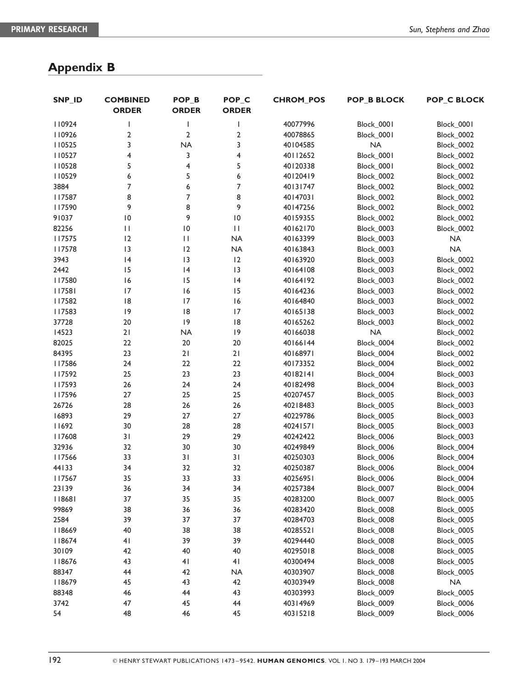# Appendix B

| SNP_ID | <b>COMBINED</b><br><b>ORDER</b> | POP_B<br><b>ORDER</b>   | POP_C<br><b>ORDER</b> | <b>CHROM_POS</b> | <b>POP_B BLOCK</b> | <b>POP_C BLOCK</b> |
|--------|---------------------------------|-------------------------|-----------------------|------------------|--------------------|--------------------|
| 110924 |                                 |                         | ı                     | 40077996         | Block_0001         | Block_0001         |
| 110926 | $\overline{\mathbf{c}}$         | $\overline{\mathbf{c}}$ | $\mathbf 2$           | 40078865         | Block_0001         | <b>Block_0002</b>  |
| 110525 | 3                               | <b>NA</b>               | 3                     | 40104585         | <b>NA</b>          | <b>Block_0002</b>  |
| 110527 | 4                               | 3                       | 4                     | 40112652         | Block_0001         | <b>Block_0002</b>  |
| 110528 | 5                               | 4                       | 5                     | 40120338         | Block_0001         | <b>Block_0002</b>  |
| 110529 | 6                               | 5                       | 6                     | 40120419         | <b>Block_0002</b>  | <b>Block_0002</b>  |
| 3884   | 7                               | 6                       | 7                     | 40131747         | <b>Block_0002</b>  | <b>Block_0002</b>  |
| 117587 | 8                               | 7                       | 8                     | 40147031         | <b>Block_0002</b>  | <b>Block_0002</b>  |
| 117590 | 9                               | 8                       | 9                     | 40147256         | <b>Block_0002</b>  | <b>Block_0002</b>  |
| 91037  | $\overline{10}$                 | 9                       | $\overline{10}$       | 40159355         | <b>Block_0002</b>  | <b>Block_0002</b>  |
| 82256  | $\mathbf{H}$                    | $\overline{10}$         | $\mathbf{H}$          | 40162170         | <b>Block_0003</b>  | <b>Block_0002</b>  |
| 117575 | 12                              | $\mathbf{H}$            | <b>NA</b>             | 40163399         | <b>Block_0003</b>  | <b>NA</b>          |
| 117578 | 3                               | 2                       | <b>NA</b>             | 40163843         | <b>Block_0003</b>  | <b>NA</b>          |
| 3943   | 4                               | 3                       | 12                    | 40163920         | <b>Block_0003</b>  | <b>Block_0002</b>  |
| 2442   | 15                              | 4                       | 3                     | 40164108         | <b>Block_0003</b>  | <b>Block_0002</b>  |
| 117580 | 16                              | 15                      | 4                     | 40164192         | <b>Block_0003</b>  | <b>Block_0002</b>  |
| 117581 | 17                              | 16                      | 15                    | 40164236         | <b>Block_0003</b>  | <b>Block_0002</b>  |
| 117582 | 8                               | 17                      | 16                    | 40164840         | <b>Block_0003</b>  | <b>Block_0002</b>  |
| 117583 | 9                               | 8                       | 17                    | 40165138         | <b>Block_0003</b>  | <b>Block_0002</b>  |
| 37728  | 20                              | 9                       | 8                     | 40165262         | <b>Block_0003</b>  | <b>Block_0002</b>  |
| 14523  | 21                              | <b>NA</b>               | 9                     | 40166038         | <b>NA</b>          | <b>Block_0002</b>  |
| 82025  | 22                              | 20                      | 20                    | 40166144         | Block_0004         | <b>Block_0002</b>  |
| 84395  | 23                              | 21                      | 21                    | 40168971         | Block_0004         | <b>Block_0002</b>  |
| 117586 | 24                              | 22                      | 22                    | 40173352         | Block_0004         | <b>Block_0002</b>  |
| 117592 | 25                              | 23                      | 23                    | 40182141         | Block_0004         | Block_0003         |
| 117593 | 26                              | 24                      | 24                    | 40182498         | Block_0004         | Block_0003         |
| 117596 | 27                              | 25                      | 25                    | 40207457         | <b>Block_0005</b>  | Block_0003         |
| 26726  | 28                              | 26                      | 26                    | 40218483         | <b>Block_0005</b>  | Block_0003         |
| 16893  | 29                              | 27                      | 27                    | 40229786         | <b>Block_0005</b>  | Block_0003         |
| 11692  | 30                              | 28                      | 28                    | 40241571         | <b>Block_0005</b>  | Block_0003         |
| 117608 | 31                              | 29                      | 29                    | 40242422         | <b>Block_0006</b>  | Block_0003         |
| 32936  | 32                              | 30                      | 30                    | 40249849         | <b>Block_0006</b>  | Block_0004         |
| 117566 | 33                              | 31                      | 31                    | 40250303         | <b>Block_0006</b>  | Block_0004         |
| 44133  | 34                              | 32                      | 32                    | 40250387         | <b>Block_0006</b>  | Block_0004         |
| 117567 | 35                              | 33                      | 33                    | 40256951         | <b>Block_0006</b>  | Block_0004         |
| 23139  | 36                              | 34                      | 34                    | 40257384         | <b>Block_0007</b>  | Block_0004         |
| 118681 | 37                              | 35                      | 35                    | 40283200         | Block_0007         | <b>Block_0005</b>  |
| 99869  | 38                              | 36                      | 36                    | 40283420         | Block_0008         | <b>Block_0005</b>  |
| 2584   | 39                              | 37                      | 37                    | 40284703         | <b>Block_0008</b>  | <b>Block_0005</b>  |
| 118669 | 40                              | 38                      | 38                    | 40285521         | <b>Block_0008</b>  | <b>Block_0005</b>  |
| 118674 | 41                              | 39                      | 39                    | 40294440         | Block_0008         | <b>Block_0005</b>  |
| 30109  | 42                              | 40                      | 40                    | 40295018         | Block_0008         | <b>Block_0005</b>  |
|        | 43                              |                         |                       |                  |                    | <b>Block_0005</b>  |
| 118676 |                                 | 41                      | 41                    | 40300494         | Block_0008         |                    |
| 88347  | 44                              | 42                      | <b>NA</b>             | 40303907         | Block_0008         | <b>Block_0005</b>  |
| 118679 | 45                              | 43                      | 42                    | 40303949         | Block_0008         | <b>NA</b>          |
| 88348  | 46                              | 44                      | 43                    | 40303993         | <b>Block_0009</b>  | <b>Block_0005</b>  |
| 3742   | 47                              | 45                      | 44                    | 40314969         | <b>Block_0009</b>  | <b>Block_0006</b>  |
| 54     | 48                              | 46                      | 45                    | 40315218         | <b>Block_0009</b>  | <b>Block_0006</b>  |